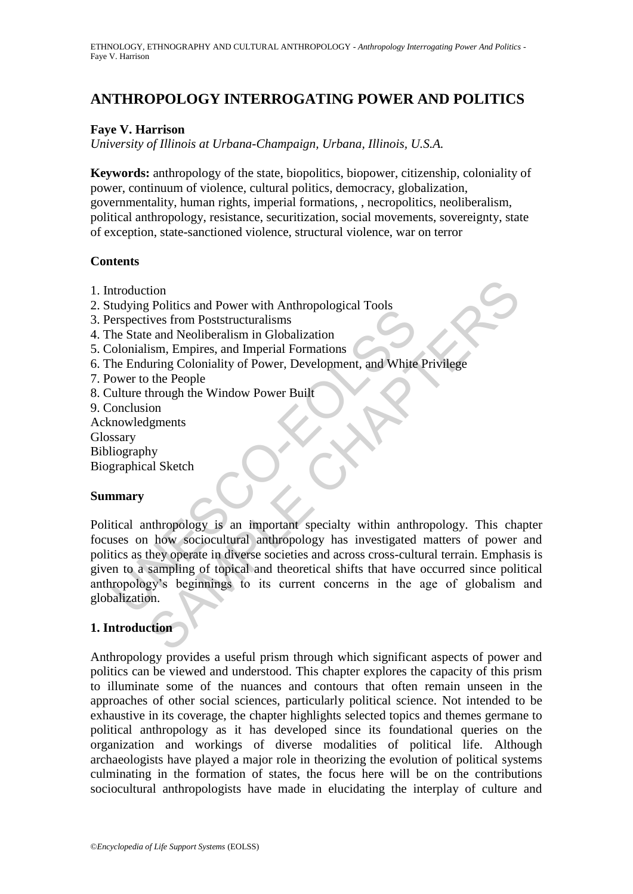# **ANTHROPOLOGY INTERROGATING POWER AND POLITICS**

### **Faye V. Harrison**

*University of Illinois at Urbana-Champaign, Urbana, Illinois, U.S.A.*

**Keywords:** anthropology of the state, biopolitics, biopower, citizenship, coloniality of power, continuum of violence, cultural politics, democracy, globalization, governmentality, human rights, imperial formations, , necropolitics, neoliberalism, political anthropology, resistance, securitization, social movements, sovereignty, state of exception, state-sanctioned violence, structural violence, war on terror

### **Contents**

- 1. Introduction
- 2. Studying Politics and Power with Anthropological Tools
- 3. Perspectives from Poststructuralisms
- 4. The State and Neoliberalism in Globalization
- 5. Colonialism, Empires, and Imperial Formations
- 6. The Enduring Coloniality of Power, Development, and White Privilege
- 7. Power to the People
- 8. Culture through the Window Power Built
- 9. Conclusion
- Acknowledgments Glossary
- Bibliography
- Biographical Sketch

#### **Summary**

Expectives from Poststructuralisms<br>
erspectives from Poststructuralisms<br>
the State and Neoliberalism in Globalization<br>
(olonialism, Empires, and Imperial Formations<br>
(olonialism, Empires, and Imperial Formations<br>
the Endur tion<br>
ives from Poststructuralisms<br>
ives and Neoliberalism in Globalization<br>
is end Neoliberalism in Globalization<br>
is end Neoliberalism in Globalization<br>
uring Coloniality of Power, Development, and White Privilege<br>
the P Political anthropology is an important specialty within anthropology. This chapter focuses on how sociocultural anthropology has investigated matters of power and politics as they operate in diverse societies and across cross-cultural terrain. Emphasis is given to a sampling of topical and theoretical shifts that have occurred since political anthropology's beginnings to its current concerns in the age of globalism and globalization.

## **1. Introduction**

Anthropology provides a useful prism through which significant aspects of power and politics can be viewed and understood. This chapter explores the capacity of this prism to illuminate some of the nuances and contours that often remain unseen in the approaches of other social sciences, particularly political science. Not intended to be exhaustive in its coverage, the chapter highlights selected topics and themes germane to political anthropology as it has developed since its foundational queries on the organization and workings of diverse modalities of political life. Although archaeologists have played a major role in theorizing the evolution of political systems culminating in the formation of states, the focus here will be on the contributions sociocultural anthropologists have made in elucidating the interplay of culture and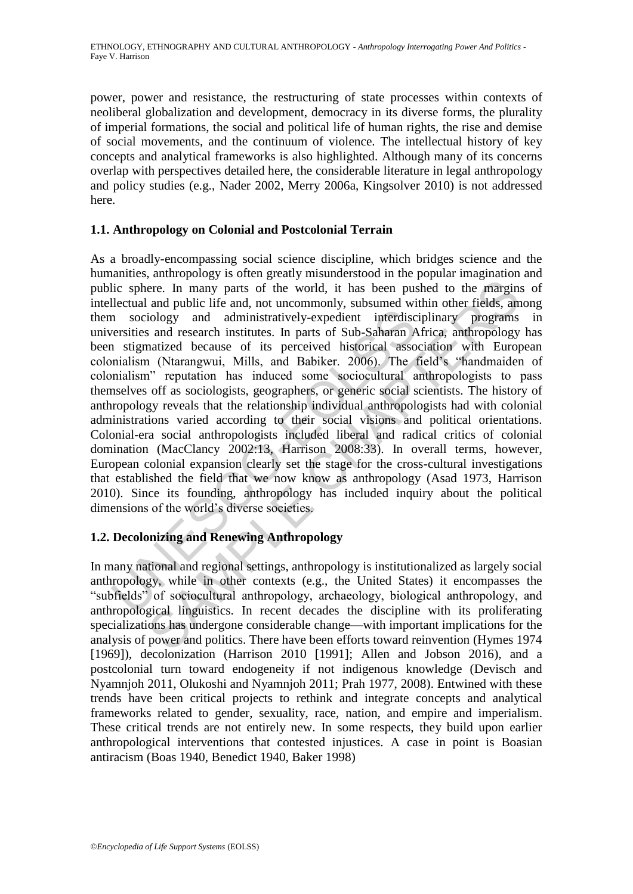power, power and resistance, the restructuring of state processes within contexts of neoliberal globalization and development, democracy in its diverse forms, the plurality of imperial formations, the social and political life of human rights, the rise and demise of social movements, and the continuum of violence. The intellectual history of key concepts and analytical frameworks is also highlighted. Although many of its concerns overlap with perspectives detailed here, the considerable literature in legal anthropology and policy studies (e.g., Nader 2002, Merry 2006a, Kingsolver 2010) is not addressed here.

## **1.1. Anthropology on Colonial and Postcolonial Terrain**

In sociology and administratively-expedient interdisc<br>versities and research institutes. In parts of Sub-Saharan A<br>1 stigmatized because of its perceived historical asso<br>mialism (Ntarangwui, Mills, and Babiker. 2006). The ere. In many parts of the world, it has been pushed to the margin:<br>and public life and, not uncommonly, subsumed within other fields, am<br>iology and administratively-expedient intertidisciplinary programs<br>is and research in As a broadly-encompassing social science discipline, which bridges science and the humanities, anthropology is often greatly misunderstood in the popular imagination and public sphere. In many parts of the world, it has been pushed to the margins of intellectual and public life and, not uncommonly, subsumed within other fields, among them sociology and administratively-expedient interdisciplinary programs in universities and research institutes. In parts of Sub-Saharan Africa, anthropology has been stigmatized because of its perceived historical association with European colonialism (Ntarangwui, Mills, and Babiker. 2006). The field's "handmaiden of colonialism" reputation has induced some sociocultural anthropologists to pass themselves off as sociologists, geographers, or generic social scientists. The history of anthropology reveals that the relationship individual anthropologists had with colonial administrations varied according to their social visions and political orientations. Colonial-era social anthropologists included liberal and radical critics of colonial domination (MacClancy 2002:13, Harrison 2008:33). In overall terms, however, European colonial expansion clearly set the stage for the cross-cultural investigations that established the field that we now know as anthropology (Asad 1973, Harrison 2010). Since its founding, anthropology has included inquiry about the political dimensions of the world's diverse societies.

## **1.2. Decolonizing and Renewing Anthropology**

In many national and regional settings, anthropology is institutionalized as largely social anthropology, while in other contexts (e.g., the United States) it encompasses the "subfields" of sociocultural anthropology, archaeology, biological anthropology, and anthropological linguistics. In recent decades the discipline with its proliferating specializations has undergone considerable change—with important implications for the analysis of power and politics. There have been efforts toward reinvention (Hymes 1974 [1969]), decolonization (Harrison 2010 [1991]; Allen and Jobson 2016), and a postcolonial turn toward endogeneity if not indigenous knowledge (Devisch and Nyamnjoh 2011, Olukoshi and Nyamnjoh 2011; Prah 1977, 2008). Entwined with these trends have been critical projects to rethink and integrate concepts and analytical frameworks related to gender, sexuality, race, nation, and empire and imperialism. These critical trends are not entirely new. In some respects, they build upon earlier anthropological interventions that contested injustices. A case in point is Boasian antiracism (Boas 1940, Benedict 1940, Baker 1998)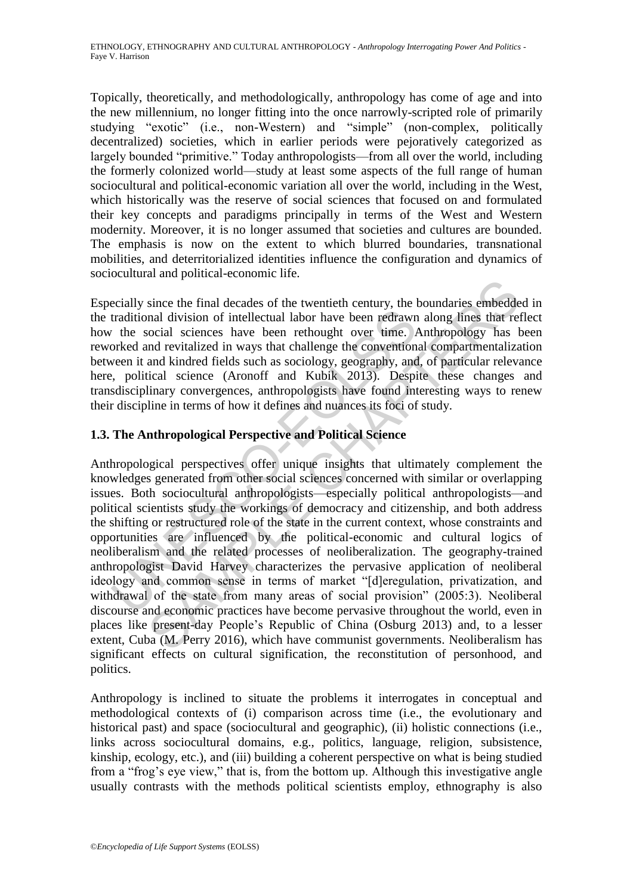Topically, theoretically, and methodologically, anthropology has come of age and into the new millennium, no longer fitting into the once narrowly-scripted role of primarily studying "exotic" (i.e., non-Western) and "simple" (non-complex, politically decentralized) societies, which in earlier periods were pejoratively categorized as largely bounded "primitive." Today anthropologists—from all over the world, including the formerly colonized world—study at least some aspects of the full range of human sociocultural and political-economic variation all over the world, including in the West, which historically was the reserve of social sciences that focused on and formulated their key concepts and paradigms principally in terms of the West and Western modernity. Moreover, it is no longer assumed that societies and cultures are bounded. The emphasis is now on the extent to which blurred boundaries, transnational mobilities, and deterritorialized identities influence the configuration and dynamics of sociocultural and political-economic life.

Especially since the final decades of the twentieth century, the boundaries embedded in the traditional division of intellectual labor have been redrawn along lines that reflect how the social sciences have been rethought over time. Anthropology has been reworked and revitalized in ways that challenge the conventional compartmentalization between it and kindred fields such as sociology, geography, and, of particular relevance here, political science (Aronoff and Kubik 2013). Despite these changes and transdisciplinary convergences, anthropologists have found interesting ways to renew their discipline in terms of how it defines and nuances its foci of study.

## **1.3. The Anthropological Perspective and Political Science**

traditional division of intellectual labor have been redrawn<br>
traditional division of intellectual labor have been redrawn<br>
orked and revitalized in ways that challenge the convention<br>
veen it and kindred fields such as so since the final decades of the twentieth century, the boundaries embeddenal division of intellectual labor have been redrawn along lines that recocial sciences have been rethought over time. Anthropology has lond revitaliz Anthropological perspectives offer unique insights that ultimately complement the knowledges generated from other social sciences concerned with similar or overlapping issues. Both sociocultural anthropologists—especially political anthropologists—and political scientists study the workings of democracy and citizenship, and both address the shifting or restructured role of the state in the current context, whose constraints and opportunities are influenced by the political-economic and cultural logics of neoliberalism and the related processes of neoliberalization. The geography-trained anthropologist David Harvey characterizes the pervasive application of neoliberal ideology and common sense in terms of market "[d]eregulation, privatization, and withdrawal of the state from many areas of social provision" (2005:3). Neoliberal discourse and economic practices have become pervasive throughout the world, even in places like present-day People's Republic of China (Osburg 2013) and, to a lesser extent, Cuba (M. Perry 2016), which have communist governments. Neoliberalism has significant effects on cultural signification, the reconstitution of personhood, and politics.

Anthropology is inclined to situate the problems it interrogates in conceptual and methodological contexts of (i) comparison across time (i.e., the evolutionary and historical past) and space (sociocultural and geographic), (ii) holistic connections (i.e., links across sociocultural domains, e.g., politics, language, religion, subsistence, kinship, ecology, etc.), and (iii) building a coherent perspective on what is being studied from a "frog's eye view," that is, from the bottom up. Although this investigative angle usually contrasts with the methods political scientists employ, ethnography is also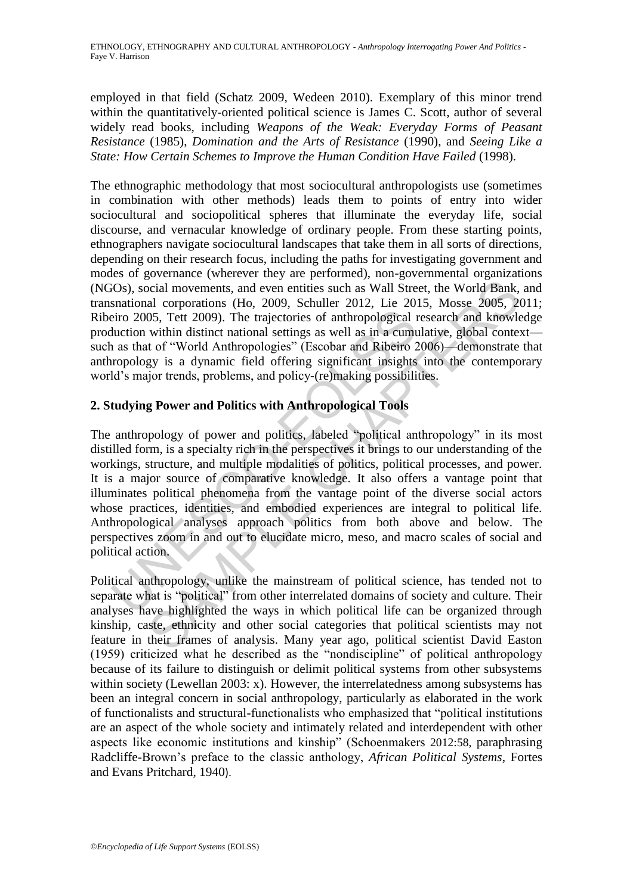employed in that field (Schatz 2009, Wedeen 2010). Exemplary of this minor trend within the quantitatively-oriented political science is James C. Scott, author of several widely read books, including *Weapons of the Weak: Everyday Forms of Peasant Resistance* (1985), *Domination and the Arts of Resistance* (1990), and *Seeing Like a State: How Certain Schemes to Improve the Human Condition Have Failed* (1998).

The ethnographic methodology that most sociocultural anthropologists use (sometimes in combination with other methods) leads them to points of entry into wider sociocultural and sociopolitical spheres that illuminate the everyday life, social discourse, and vernacular knowledge of ordinary people. From these starting points, ethnographers navigate sociocultural landscapes that take them in all sorts of directions, depending on their research focus, including the paths for investigating government and modes of governance (wherever they are performed), non-governmental organizations (NGOs), social movements, and even entities such as Wall Street, the World Bank, and transnational corporations (Ho, 2009, Schuller 2012, Lie 2015, Mosse 2005, 2011; Ribeiro 2005, Tett 2009). The trajectories of anthropological research and knowledge production within distinct national settings as well as in a cumulative, global context such as that of "World Anthropologies" (Escobar and Ribeiro 2006)—demonstrate that anthropology is a dynamic field offering significant insights into the contemporary world's major trends, problems, and policy-(re)making possibilities.

## **2. Studying Power and Politics with Anthropological Tools**

eiro 2005, Tett 2009). The trajectories of anthropological iduction within distinct national settings as well as in a cumu<br>
1 as that of "World Anthropologies" (Escobar and Ribeiro 2<br>
1 as that of "World Anthropologies" (E ocial movements, and even entities such as Wall Street, the World Bank,<br>al corporations (Ho. 2009, Schuller 2012, Lie 2015, Mosse 2005, 20<br>05, 7et 2009). The trajectories of anthropological research and knowle<br>within disti The anthropology of power and politics, labeled "political anthropology" in its most distilled form, is a specialty rich in the perspectives it brings to our understanding of the workings, structure, and multiple modalities of politics, political processes, and power. It is a major source of comparative knowledge. It also offers a vantage point that illuminates political phenomena from the vantage point of the diverse social actors whose practices, identities, and embodied experiences are integral to political life. Anthropological analyses approach politics from both above and below. The perspectives zoom in and out to elucidate micro, meso, and macro scales of social and political action.

Political anthropology, unlike the mainstream of political science, has tended not to separate what is "political" from other interrelated domains of society and culture. Their analyses have highlighted the ways in which political life can be organized through kinship, caste, ethnicity and other social categories that political scientists may not feature in their frames of analysis. Many year ago, political scientist David Easton  $(1959)$  criticized what he described as the "nondiscipline" of political anthropology because of its failure to distinguish or delimit political systems from other subsystems within society (Lewellan 2003: x). However, the interrelatedness among subsystems has been an integral concern in social anthropology, particularly as elaborated in the work of functionalists and structural-functionalists who emphasized that "political institutions are an aspect of the whole society and intimately related and interdependent with other aspects like economic institutions and kinship" (Schoenmakers 2012:58, paraphrasing Radcliffe-Brown's preface to the classic anthology, *African Political Systems*, Fortes and Evans Pritchard, 1940).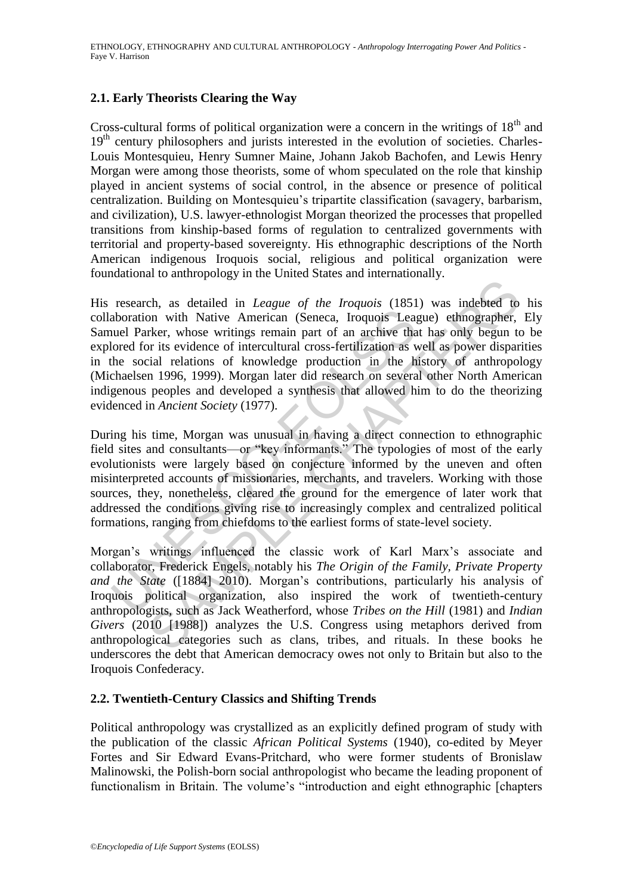## **2.1. Early Theorists Clearing the Way**

Cross-cultural forms of political organization were a concern in the writings of  $18<sup>th</sup>$  and 19<sup>th</sup> century philosophers and jurists interested in the evolution of societies. Charles-Louis Montesquieu, Henry Sumner Maine, Johann Jakob Bachofen, and Lewis Henry Morgan were among those theorists, some of whom speculated on the role that kinship played in ancient systems of social control, in the absence or presence of political centralization. Building on Montesquieu's tripartite classification (savagery, barbarism, and civilization), U.S. lawyer-ethnologist Morgan theorized the processes that propelled transitions from kinship-based forms of regulation to centralized governments with territorial and property-based sovereignty. His ethnographic descriptions of the North American indigenous Iroquois social, religious and political organization were foundational to anthropology in the United States and internationally.

aboration with Native American (Seneca, Iroquois Leaguel Parker, whose writings remain part of an archive thal<br>ored for its evidence of intercultural cross-fertilization as whe social relations of knowledge production in t ch, as detailed in *League of the Iroquois* (1851) was indebted to<br>on with Native American (Seneca, Iroquois League) ethnographer,<br>rker, whose writings remain part of an archive that has only begun to<br>r its evidence of in His research, as detailed in *League of the Iroquois* (1851) was indebted to his collaboration with Native American (Seneca, Iroquois League) ethnographer, Ely Samuel Parker, whose writings remain part of an archive that has only begun to be explored for its evidence of intercultural cross-fertilization as well as power disparities in the social relations of knowledge production in the history of anthropology (Michaelsen 1996, 1999). Morgan later did research on several other North American indigenous peoples and developed a synthesis that allowed him to do the theorizing evidenced in *Ancient Society* (1977).

During his time, Morgan was unusual in having a direct connection to ethnographic field sites and consultants—or "key informants." The typologies of most of the early evolutionists were largely based on conjecture informed by the uneven and often misinterpreted accounts of missionaries, merchants, and travelers. Working with those sources, they, nonetheless, cleared the ground for the emergence of later work that addressed the conditions giving rise to increasingly complex and centralized political formations, ranging from chiefdoms to the earliest forms of state-level society.

Morgan's writings influenced the classic work of Karl Marx's associate and collaborator, Frederick Engels, notably his *The Origin of the Family, Private Property and the State* ([1884] 2010). Morgan's contributions, particularly his analysis of Iroquois political organization, also inspired the work of twentieth-century anthropologists, such as Jack Weatherford, whose *Tribes on the Hill* (1981) and *Indian Givers* (2010 [1988]) analyzes the U.S. Congress using metaphors derived from anthropological categories such as clans, tribes, and rituals. In these books he underscores the debt that American democracy owes not only to Britain but also to the Iroquois Confederacy.

## **2.2. Twentieth-Century Classics and Shifting Trends**

Political anthropology was crystallized as an explicitly defined program of study with the publication of the classic *African Political Systems* (1940), co-edited by Meyer Fortes and Sir Edward Evans-Pritchard, who were former students of Bronislaw Malinowski, the Polish-born social anthropologist who became the leading proponent of functionalism in Britain. The volume's "introduction and eight ethnographic [chapters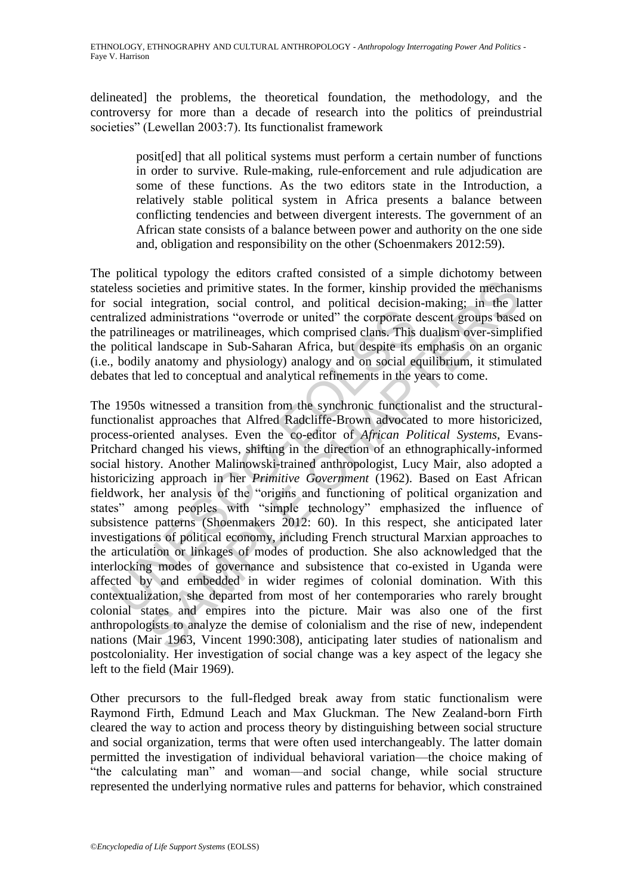delineated] the problems, the theoretical foundation, the methodology, and the controversy for more than a decade of research into the politics of preindustrial societies" (Lewellan 2003:7). Its functionalist framework

posit[ed] that all political systems must perform a certain number of functions in order to survive. Rule-making, rule-enforcement and rule adjudication are some of these functions. As the two editors state in the Introduction, a relatively stable political system in Africa presents a balance between conflicting tendencies and between divergent interests. The government of an African state consists of a balance between power and authority on the one side and, obligation and responsibility on the other (Schoenmakers 2012:59).

The political typology the editors crafted consisted of a simple dichotomy between stateless societies and primitive states. In the former, kinship provided the mechanisms for social integration, social control, and political decision-making; in the latter centralized administrations "overrode or united" the corporate descent groups based on the patrilineages or matrilineages, which comprised clans. This dualism over-simplified the political landscape in Sub-Saharan Africa, but despite its emphasis on an organic (i.e., bodily anatomy and physiology) analogy and on social equilibrium, it stimulated debates that led to conceptual and analytical refinements in the years to come.

ralized administrations "overrode or united" the corporate constrillineages or matrilineages, which comprised clans. This political landscape in Sub-Saharan Africa, but despite its , bodily anatomy and physiology) analogy icieties and primitive states. In the former, kinship provided the mechani integration, social control, and political decision-making; in the la administrations "overtode or united" the corporate descent groups based<br>admin The 1950s witnessed a transition from the synchronic functionalist and the structuralfunctionalist approaches that Alfred Radcliffe-Brown advocated to more historicized, process-oriented analyses. Even the co-editor of *African Political Systems*, Evans-Pritchard changed his views, shifting in the direction of an ethnographically-informed social history. Another Malinowski-trained anthropologist, Lucy Mair, also adopted a historicizing approach in her *Primitive Government* (1962). Based on East African fieldwork, her analysis of the "origins and functioning of political organization and states" among peoples with "simple technology" emphasized the influence of subsistence patterns (Shoenmakers 2012: 60). In this respect, she anticipated later investigations of political economy, including French structural Marxian approaches to the articulation or linkages of modes of production. She also acknowledged that the interlocking modes of governance and subsistence that co-existed in Uganda were affected by and embedded in wider regimes of colonial domination. With this contextualization, she departed from most of her contemporaries who rarely brought colonial states and empires into the picture. Mair was also one of the first anthropologists to analyze the demise of colonialism and the rise of new, independent nations (Mair 1963, Vincent 1990:308), anticipating later studies of nationalism and postcoloniality. Her investigation of social change was a key aspect of the legacy she left to the field (Mair 1969).

Other precursors to the full-fledged break away from static functionalism were Raymond Firth, Edmund Leach and Max Gluckman. The New Zealand-born Firth cleared the way to action and process theory by distinguishing between social structure and social organization, terms that were often used interchangeably. The latter domain permitted the investigation of individual behavioral variation—the choice making of "the calculating man" and woman—and social change, while social structure represented the underlying normative rules and patterns for behavior, which constrained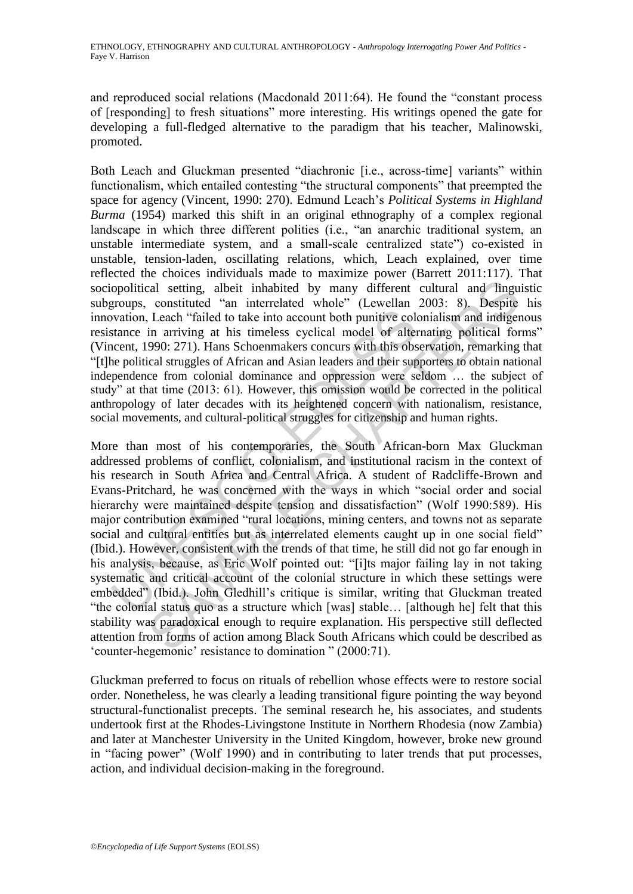and reproduced social relations (Macdonald 2011:64). He found the "constant process of [responding] to fresh situations" more interesting. His writings opened the gate for developing a full-fledged alternative to the paradigm that his teacher, Malinowski, promoted.

Both Leach and Gluckman presented "diachronic [i.e., across-time] variants" within functionalism, which entailed contesting "the structural components" that preempted the space for agency (Vincent, 1990: 270). Edmund Leach's *Political Systems in Highland Burma* (1954) marked this shift in an original ethnography of a complex regional landscape in which three different polities (i.e., "an anarchic traditional system, an unstable intermediate system, and a small-scale centralized state") co-existed in unstable, tension-laden, oscillating relations, which, Leach explained, over time reflected the choices individuals made to maximize power (Barrett 2011:117). That sociopolitical setting, albeit inhabited by many different cultural and linguistic subgroups, constituted "an interrelated whole" (Lewellan 2003: 8). Despite his innovation, Leach "failed to take into account both punitive colonialism and indigenous resistance in arriving at his timeless cyclical model of alternating political forms" (Vincent, 1990: 271). Hans Schoenmakers concurs with this observation, remarking that ―[t]he political struggles of African and Asian leaders and their supporters to obtain national independence from colonial dominance and oppression were seldom … the subject of study" at that time (2013: 61). However, this omission would be corrected in the political anthropology of later decades with its heightened concern with nationalism, resistance, social movements, and cultural-political struggles for citizenship and human rights.

byation, Leach "failed to take into account both punitive columents at a stance in arriving at his timeless cyclical model of alterncent, 1990: 271). Hans Schoenmakers concurs with this observed the political struggles of cal setting, albeit inhabited by many different cultural and lingu<br>constituted "an interrelated whole" (Lewellan 2003: 8). Despite<br>l.each "failed to take into account both punitive colonialism and indiger<br>in arriving at hi More than most of his contemporaries, the South African-born Max Gluckman addressed problems of conflict, colonialism, and institutional racism in the context of his research in South Africa and Central Africa. A student of Radcliffe-Brown and Evans-Pritchard, he was concerned with the ways in which "social order and social hierarchy were maintained despite tension and dissatisfaction" (Wolf 1990:589). His major contribution examined "rural locations, mining centers, and towns not as separate social and cultural entities but as interrelated elements caught up in one social field" (Ibid.). However, consistent with the trends of that time, he still did not go far enough in his analysis, because, as Eric Wolf pointed out: "[i]ts major failing lay in not taking systematic and critical account of the colonial structure in which these settings were embedded" (Ibid.). John Gledhill's critique is similar, writing that Gluckman treated "the colonial status quo as a structure which [was] stable... [although he] felt that this stability was paradoxical enough to require explanation. His perspective still deflected attention from forms of action among Black South Africans which could be described as ‗counter-hegemonic' resistance to domination ‖ (2000:71).

Gluckman preferred to focus on rituals of rebellion whose effects were to restore social order. Nonetheless, he was clearly a leading transitional figure pointing the way beyond structural-functionalist precepts. The seminal research he, his associates, and students undertook first at the Rhodes-Livingstone Institute in Northern Rhodesia (now Zambia) and later at Manchester University in the United Kingdom, however, broke new ground in "facing power" (Wolf 1990) and in contributing to later trends that put processes, action, and individual decision-making in the foreground.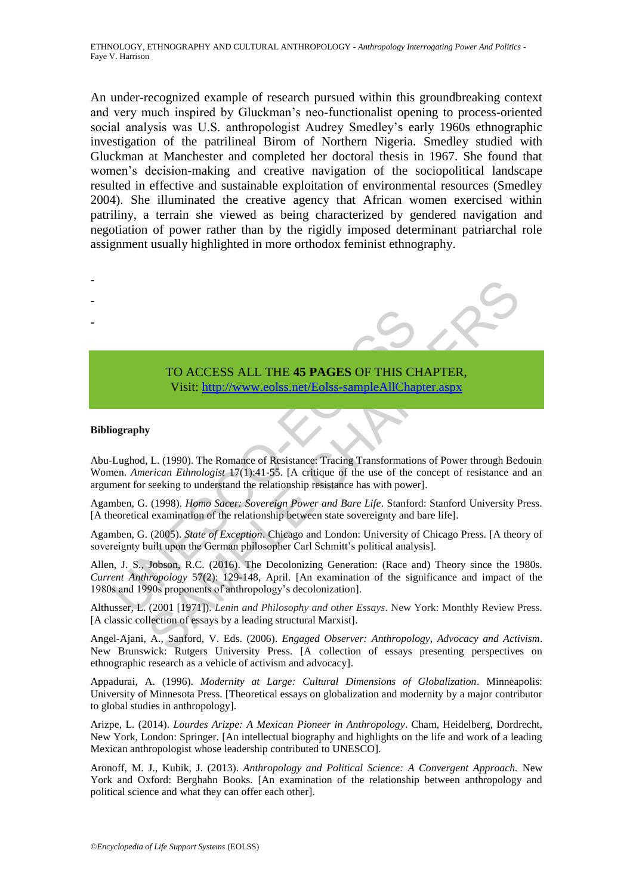An under-recognized example of research pursued within this groundbreaking context and very much inspired by Gluckman's neo-functionalist opening to process-oriented social analysis was U.S. anthropologist Audrey Smedley's early 1960s ethnographic investigation of the patrilineal Birom of Northern Nigeria. Smedley studied with Gluckman at Manchester and completed her doctoral thesis in 1967. She found that women's decision-making and creative navigation of the sociopolitical landscape resulted in effective and sustainable exploitation of environmental resources (Smedley 2004). She illuminated the creative agency that African women exercised within patriliny, a terrain she viewed as being characterized by gendered navigation and negotiation of power rather than by the rigidly imposed determinant patriarchal role assignment usually highlighted in more orthodox feminist ethnography.



#### TO ACCESS ALL THE **45 PAGES** OF THIS CHAPTER, Visit: http://www.eolss.net/Eolss-sampleAllChapter.aspx

#### **Bibliography**

Abu-Lughod, L. (1990). The Romance of Resistance: Tracing Transformations of Power through Bedouin Women. *American Ethnologist* 17(1):41-55. [A critique of the use of the concept of resistance and an argument for seeking to understand the relationship resistance has with power].

Agamben, G. (1998). *Homo Sacer: Sovereign Power and Bare Life*. Stanford: Stanford University Press. [A theoretical examination of the relationship between state sovereignty and bare life].

Agamben, G. (2005). *State of Exception*. Chicago and London: University of Chicago Press. [A theory of sovereignty built upon the German philosopher Carl Schmitt's political analysis].

Allen, J. S., Jobson, R.C. (2016). The Decolonizing Generation: (Race and) Theory since the 1980s. *Current Anthropology* 57(2): 129-148, April. [An examination of the significance and impact of the 1980s and 1990s proponents of anthropology's decolonization].

Althusser, L. (2001 [1971]). *Lenin and Philosophy and other Essays*. New York: Monthly Review Press. [A classic collection of essays by a leading structural Marxist].

Angel-Ajani, A., Sanford, V. Eds. (2006). *Engaged Observer: Anthropology, Advocacy and Activism*. New Brunswick: Rutgers University Press. [A collection of essays presenting perspectives on ethnographic research as a vehicle of activism and advocacy].

Appadurai, A. (1996). *Modernity at Large: Cultural Dimensions of Globalization*. Minneapolis: University of Minnesota Press. [Theoretical essays on globalization and modernity by a major contributor to global studies in anthropology].

Arizpe, L. (2014). *Lourdes Arizpe: A Mexican Pioneer in Anthropology*. Cham, Heidelberg, Dordrecht, New York, London: Springer. [An intellectual biography and highlights on the life and work of a leading Mexican anthropologist whose leadership contributed to UNESCO].

Aronoff, M. J., Kubik, J. (2013). *Anthropology and Political Science: A Convergent Approach.* New York and Oxford: Berghahn Books. [An examination of the relationship between anthropology and political science and what they can offer each other].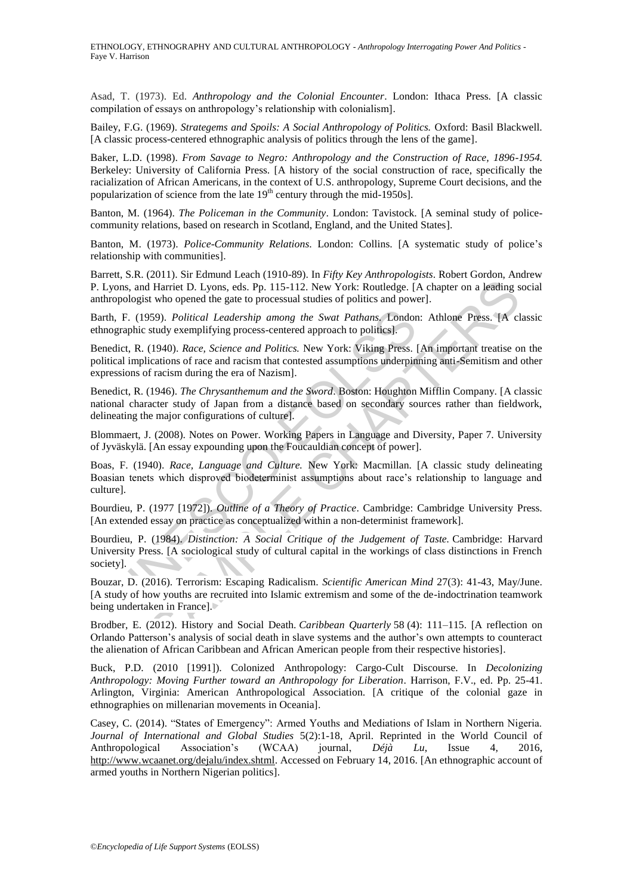Asad, T. (1973). Ed. *Anthropology and the Colonial Encounter*. London: Ithaca Press. [A classic compilation of essays on anthropology's relationship with colonialism].

Bailey, F.G. (1969). *Strategems and Spoils: A Social Anthropology of Politics.* Oxford: Basil Blackwell. [A classic process-centered ethnographic analysis of politics through the lens of the game].

Baker, L.D. (1998). *From Savage to Negro: Anthropology and the Construction of Race, 1896-1954.* Berkeley: University of California Press. [A history of the social construction of race, specifically the racialization of African Americans, in the context of U.S. anthropology, Supreme Court decisions, and the popularization of science from the late  $19<sup>th</sup>$  century through the mid-1950s].

Banton, M. (1964). *The Policeman in the Community*. London: Tavistock. [A seminal study of policecommunity relations, based on research in Scotland, England, and the United States].

Banton, M. (1973). *Police-Community Relations*. London: Collins. [A systematic study of police's relationship with communities].

Barrett, S.R. (2011). Sir Edmund Leach (1910-89). In *Fifty Key Anthropologists*. Robert Gordon, Andrew P. Lyons, and Harriet D. Lyons, eds. Pp. 115-112. New York: Routledge. [A chapter on a leading social anthropologist who opened the gate to processual studies of politics and power].

Barth, F. (1959). *Political Leadership among the Swat Pathans.* London: Athlone Press. [A classic ethnographic study exemplifying process-centered approach to politics].

Benedict, R. (1940). *Race, Science and Politics.* New York: Viking Press. [An important treatise on the political implications of race and racism that contested assumptions underpinning anti-Semitism and other expressions of racism during the era of Nazism].

h, F. (1959). *Political Leadership among the Swat Pathans*. Londor ographic study exemplifying process-centered approach to politics.<br>
edict, R. (1940). *Race, Science and Politics*. New York: Viking Press. [ical implicat 1 Harriet D. Lyons, eds. Pp. 115-112. New York: Routledge. (A chapter on a leading st who opened the gate to processual studies of politics and power].<br>
SASO, Political Leadership among the Swar Pathans, London: Athlone Pr Benedict, R. (1946). *The Chrysanthemum and the Sword*. Boston: Houghton Mifflin Company. [A classic national character study of Japan from a distance based on secondary sources rather than fieldwork, delineating the major configurations of culture].

Blommaert, J. (2008). Notes on Power. Working Papers in Language and Diversity, Paper 7. University of Jyväskylä. [An essay expounding upon the Foucauldian concept of power].

Boas, F. (1940). *Race, Language and Culture.* New York: Macmillan. [A classic study delineating Boasian tenets which disproved biodeterminist assumptions about race's relationship to language and culture].

Bourdieu, P. (1977 [1972]). *Outline of a Theory of Practice*. Cambridge: Cambridge University Press. [An extended essay on practice as conceptualized within a non-determinist framework].

Bourdieu, P. (1984). *Distinction: A Social Critique of the Judgement of Taste.* Cambridge: Harvard University Press. [A sociological study of cultural capital in the workings of class distinctions in French society].

Bouzar, D. (2016). Terrorism: Escaping Radicalism. *Scientific American Mind* 27(3): 41-43, May/June. [A study of how youths are recruited into Islamic extremism and some of the de-indoctrination teamwork being undertaken in France].

Brodber, E. (2012). History and Social Death. *Caribbean Quarterly* 58 (4): 111–115. [A reflection on Orlando Patterson's analysis of social death in slave systems and the author's own attempts to counteract the alienation of African Caribbean and African American people from their respective histories].

Buck, P.D. (2010 [1991]). Colonized Anthropology: Cargo-Cult Discourse. In *Decolonizing Anthropology: Moving Further toward an Anthropology for Liberation*. Harrison, F.V., ed. Pp. 25-41. Arlington, Virginia: American Anthropological Association. [A critique of the colonial gaze in ethnographies on millenarian movements in Oceania].

Casey, C. (2014). "States of Emergency": Armed Youths and Mediations of Islam in Northern Nigeria. *Journal of International and Global Studies* 5(2):1-18, April. Reprinted in the World Council of Anthropological Association's (WCAA) journal, *Déjà Lu*, Issue 4, 2016, http://www.wcaanet.org/dejalu/index.shtml. Accessed on February 14, 2016. [An ethnographic account of armed youths in Northern Nigerian politics].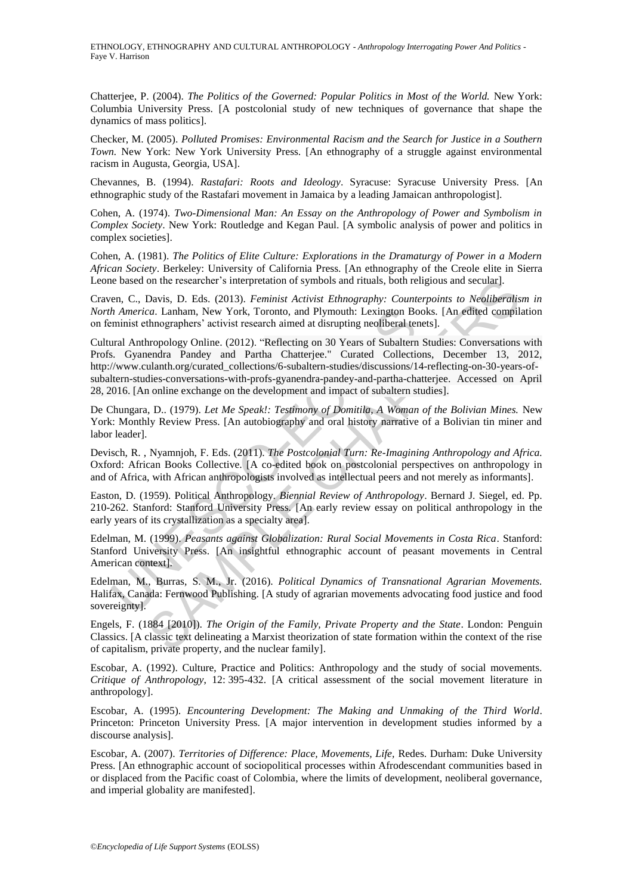Chatterjee, P. (2004). *The Politics of the Governed: Popular Politics in Most of the World.* New York: Columbia University Press. [A postcolonial study of new techniques of governance that shape the dynamics of mass politics].

Checker, M. (2005). *Polluted Promises: Environmental Racism and the Search for Justice in a Southern Town.* New York: New York University Press. [An ethnography of a struggle against environmental racism in Augusta, Georgia, USA].

Chevannes, B. (1994). *Rastafari: Roots and Ideology*. Syracuse: Syracuse University Press. [An ethnographic study of the Rastafari movement in Jamaica by a leading Jamaican anthropologist].

Cohen, A. (1974). *Two-Dimensional Man: An Essay on the Anthropology of Power and Symbolism in Complex Society*. New York: Routledge and Kegan Paul. [A symbolic analysis of power and politics in complex societies].

Cohen, A. (1981). *The Politics of Elite Culture: Explorations in the Dramaturgy of Power in a Modern African Society*. Berkeley: University of California Press. [An ethnography of the Creole elite in Sierra Leone based on the researcher's interpretation of symbols and rituals, both religious and secular].

Craven, C., Davis, D. Eds. (2013). *Feminist Activist Ethnography: Counterpoints to Neoliberalism in North America*. Lanham, New York, Toronto, and Plymouth: Lexington Books. [An edited compilation on feminist ethnographers' activist research aimed at disrupting neoliberal tenets].

*h America*. Lanham, New York, Toronto, and Plymouth: Lexington Be<br>minist ethnographers' activist research aimed at disrupting neoliberal ter<br>and Anthropology Online. (2012). "Reflecting on 30 Years of Subaltern<br>as. Gyanen on the researcher 's interpretation of symbols and rituals, both religious and secular].<br>Davis, D. Eds. (2013). Feminist Activist Ethnography: Counterpoints to Neolibleratis, and Elymouth: Lexington Books. [An edited compi Cultural Anthropology Online. (2012). "Reflecting on 30 Years of Subaltern Studies: Conversations with Profs. Gyanendra Pandey and Partha Chatterjee." Curated Collections, December 13, 2012, http://www.culanth.org/curated\_collections/6-subaltern-studies/discussions/14-reflecting-on-30-years-ofsubaltern-studies-conversations-with-profs-gyanendra-pandey-and-partha-chatterjee. Accessed on April 28, 2016. [An online exchange on the development and impact of subaltern studies].

De Chungara, D.. (1979). *Let Me Speak!: Testimony of Domitila, A Woman of the Bolivian Mines.* New York: Monthly Review Press. [An autobiography and oral history narrative of a Bolivian tin miner and labor leader].

Devisch, R. , Nyamnjoh, F. Eds. (2011). *The Postcolonial Turn: Re-Imagining Anthropology and Africa.* Oxford: African Books Collective. [A co-edited book on postcolonial perspectives on anthropology in and of Africa, with African anthropologists involved as intellectual peers and not merely as informants].

Easton, D. (1959). Political Anthropology. *Biennial Review of Anthropology*. Bernard J. Siegel, ed. Pp. 210-262. Stanford: Stanford University Press. [An early review essay on political anthropology in the early years of its crystallization as a specialty area].

Edelman, M. (1999). *Peasants against Globalization: Rural Social Movements in Costa Rica*. Stanford: Stanford University Press. [An insightful ethnographic account of peasant movements in Central American context].

Edelman, M., Burras, S. M., Jr. (2016). *Political Dynamics of Transnational Agrarian Movements.* Halifax, Canada: Fernwood Publishing. [A study of agrarian movements advocating food justice and food sovereignty].

Engels, F. (1884 [2010]). *The Origin of the Family, Private Property and the State*. London: Penguin Classics. [A classic text delineating a Marxist theorization of state formation within the context of the rise of capitalism, private property, and the nuclear family].

Escobar, A. (1992). Culture, Practice and Politics: Anthropology and the study of social movements. *Critique of Anthropology*, 12: 395-432. [A critical assessment of the social movement literature in anthropology].

Escobar, A. (1995). *Encountering Development: The Making and Unmaking of the Third World*. Princeton: Princeton University Press. [A major intervention in development studies informed by a discourse analysis].

Escobar, A. (2007). *Territories of Difference: Place, Movements, Life,* Redes. Durham: Duke University Press. [An ethnographic account of sociopolitical processes within Afrodescendant communities based in or displaced from the Pacific coast of Colombia, where the limits of development, neoliberal governance, and imperial globality are manifested].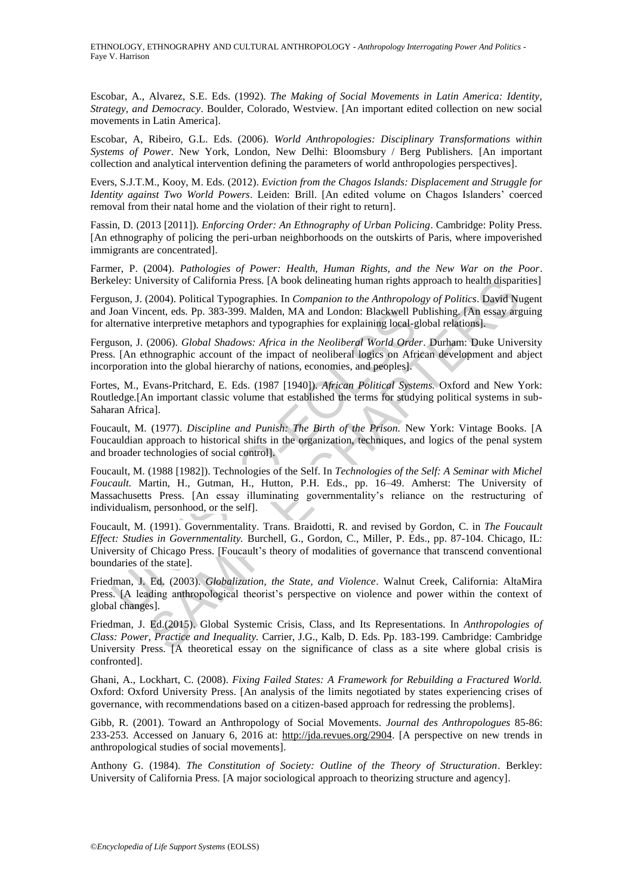Escobar, A., Alvarez, S.E. Eds. (1992). *The Making of Social Movements in Latin America: Identity, Strategy, and Democracy*. Boulder, Colorado, Westview. [An important edited collection on new social movements in Latin America].

Escobar, A, Ribeiro, G.L. Eds. (2006). *World Anthropologies: Disciplinary Transformations within Systems of Power*. New York, London, New Delhi: Bloomsbury / Berg Publishers. [An important collection and analytical intervention defining the parameters of world anthropologies perspectives].

Evers, S.J.T.M., Kooy, M. Eds. (2012). *Eviction from the Chagos Islands: Displacement and Struggle for Identity against Two World Powers*. Leiden: Brill. [An edited volume on Chagos Islanders' coerced removal from their natal home and the violation of their right to return].

Fassin, D. (2013 [2011]). *Enforcing Order: An Ethnography of Urban Policing*. Cambridge: Polity Press. [An ethnography of policing the peri-urban neighborhoods on the outskirts of Paris, where impoverished immigrants are concentrated].

Farmer, P. (2004). *Pathologies of Power: Health, Human Rights, and the New War on the Poor*. Berkeley: University of California Press. [A book delineating human rights approach to health disparities]

Ferguson, J. (2004). Political Typographies. In *Companion to the Anthropology of Politics*. David Nugent and Joan Vincent, eds. Pp. 383-399. Malden, MA and London: Blackwell Publishing. [An essay arguing for alternative interpretive metaphors and typographies for explaining local-global relations].

Ferguson, J. (2006). *Global Shadows: Africa in the Neoliberal World Order*. Durham: Duke University Press. [An ethnographic account of the impact of neoliberal logics on African development and abject incorporation into the global hierarchy of nations, economies, and peoples].

Fortes, M., Evans-Pritchard, E. Eds. (1987 [1940]). *African Political Systems.* Oxford and New York: Routledge*.*[An important classic volume that established the terms for studying political systems in sub-Saharan Africa].

Foucault, M. (1977). *Discipline and Punish: The Birth of the Prison.* New York: Vintage Books. [A Foucauldian approach to historical shifts in the organization, techniques, and logics of the penal system and broader technologies of social control].

Joan Vincent, eds. Pp. 383-399. Malden, MA and London: Blackwell P<br>lternative interpretive metaphors and typographies for explaining local-g<br>uson, J. (2006). *Global Shadows: Africa in the Neoliberal World Orde*<br>5. [An eth ativersity of California Press. [A book delineating human rights approach to health disparated (2004), Political Typographies. In Companion to the Anthropology of Politics. David Nuclear (1936), Global Shadows: Africa in t Foucault, M. (1988 [1982]). Technologies of the Self. In *Technologies of the Self: A Seminar with Michel Foucault.* Martin, H., Gutman, H., Hutton, P.H. Eds., pp. 16–49. Amherst: The University of Massachusetts Press. [An essay illuminating governmentality's reliance on the restructuring of individualism, personhood, or the self].

Foucault, M. (1991). Governmentality. Trans. Braidotti, R. and revised by Gordon, C. in *The Foucault Effect: Studies in Governmentality.* Burchell, G., Gordon, C., Miller, P. Eds., pp. 87-104. Chicago, IL: University of Chicago Press. [Foucault's theory of modalities of governance that transcend conventional boundaries of the state].

Friedman, J. Ed. (2003). *Globalization, the State, and Violence*. Walnut Creek, California: AltaMira Press. [A leading anthropological theorist's perspective on violence and power within the context of global changes].

Friedman, J. Ed.(2015). Global Systemic Crisis, Class, and Its Representations. In *Anthropologies of Class: Power, Practice and Inequality.* Carrier, J.G., Kalb, D. Eds. Pp. 183-199. Cambridge: Cambridge University Press. [A theoretical essay on the significance of class as a site where global crisis is confronted].

Ghani, A., Lockhart, C. (2008). *Fixing Failed States: A Framework for Rebuilding a Fractured World.* Oxford: Oxford University Press. [An analysis of the limits negotiated by states experiencing crises of governance, with recommendations based on a citizen-based approach for redressing the problems].

Gibb, R. (2001). Toward an Anthropology of Social Movements. *Journal des Anthropologues* 85-86: 233-253. Accessed on January 6, 2016 at: http://jda.revues.org/2904. [A perspective on new trends in anthropological studies of social movements].

Anthony G. (1984). *The Constitution of Society: Outline of the Theory of Structuration*. Berkley: University of California Press. [A major sociological approach to theorizing structure and agency].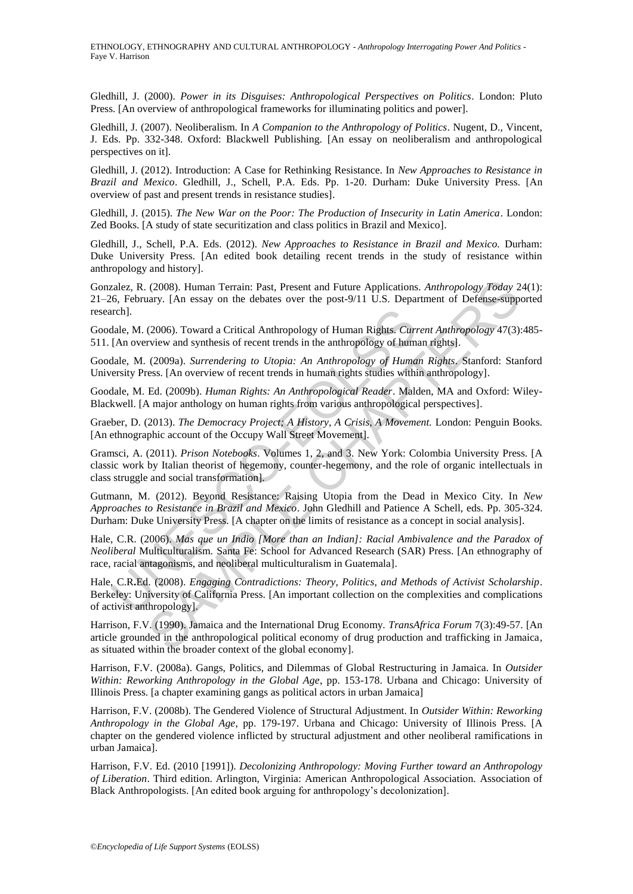Gledhill, J. (2000). *Power in its Disguises: Anthropological Perspectives on Politics*. London: Pluto Press. [An overview of anthropological frameworks for illuminating politics and power].

Gledhill, J. (2007). Neoliberalism. In *A Companion to the Anthropology of Politics*. Nugent, D., Vincent, J. Eds. Pp. 332-348. Oxford: Blackwell Publishing. [An essay on neoliberalism and anthropological perspectives on it].

Gledhill, J. (2012). Introduction: A Case for Rethinking Resistance. In *New Approaches to Resistance in Brazil and Mexico*. Gledhill, J., Schell, P.A. Eds. Pp. 1-20. Durham: Duke University Press. [An overview of past and present trends in resistance studies].

Gledhill, J. (2015). *The New War on the Poor: The Production of Insecurity in Latin America*. London: Zed Books. [A study of state securitization and class politics in Brazil and Mexico].

Gledhill, J., Schell, P.A. Eds. (2012). *New Approaches to Resistance in Brazil and Mexico.* Durham: Duke University Press. [An edited book detailing recent trends in the study of resistance within anthropology and history].

(2008). Human Terrain: Past, Present and Future Applications. Anthropology Today 2<br>ary. [An essay on the debates over the post-9/11 U.S. Department of Defense-supp<br>(2006). Toward a Critical Anthropology of Human Rights. Gonzalez, R. (2008). Human Terrain: Past, Present and Future Applications. *Anthropology Today* 24(1): 21–26, February. [An essay on the debates over the post-9/11 U.S. Department of Defense-supported research].

Goodale, M. (2006). Toward a Critical Anthropology of Human Rights. *Current Anthropology* 47(3):485- 511. [An overview and synthesis of recent trends in the anthropology of human rights].

Goodale, M. (2009a). *Surrendering to Utopia: An Anthropology of Human Rights*. Stanford: Stanford University Press. [An overview of recent trends in human rights studies within anthropology].

Goodale, M. Ed. (2009b). *Human Rights: An Anthropological Reader*. Malden, MA and Oxford: Wiley-Blackwell. [A major anthology on human rights from various anthropological perspectives].

Graeber, D. (2013). *The Democracy Project; A History, A Crisis, A Movement.* London: Penguin Books. [An ethnographic account of the Occupy Wall Street Movement].

Gramsci, A. (2011). *Prison Notebooks*. Volumes 1, 2, and 3. New York: Colombia University Press. [A classic work by Italian theorist of hegemony, counter-hegemony, and the role of organic intellectuals in class struggle and social transformation].

Gutmann, M. (2012). Beyond Resistance: Raising Utopia from the Dead in Mexico City. In *New Approaches to Resistance in Brazil and Mexico*. John Gledhill and Patience A Schell, eds. Pp. 305-324. Durham: Duke University Press. [A chapter on the limits of resistance as a concept in social analysis].

Hale, C.R. (2006). *Mas que un Indio [More than an Indian]: Racial Ambivalence and the Paradox of Neoliberal* Multiculturalism*.* Santa Fe: School for Advanced Research (SAR) Press. [An ethnography of race, racial antagonisms, and neoliberal multiculturalism in Guatemala].

nch].<br>
Idale, M. (2006). Toward a Critical Anthropology of Human Rights. *Curr* [An overview and synthesis of recent trends in the anthropology of Huma<br>
Idale, M. (2009a). *Surrendering to Utopia: An Anthropology of Huma*<br> Hale, C.R**.**Ed. (2008). *Engaging Contradictions: Theory, Politics, and Methods of Activist Scholarship*. Berkeley: University of California Press. [An important collection on the complexities and complications of activist anthropology].

Harrison, F.V. (1990). Jamaica and the International Drug Economy. *TransAfrica Forum* 7(3):49-57. [An article grounded in the anthropological political economy of drug production and trafficking in Jamaica, as situated within the broader context of the global economy].

Harrison, F.V. (2008a). Gangs, Politics, and Dilemmas of Global Restructuring in Jamaica. In *Outsider Within: Reworking Anthropology in the Global Age*, pp. 153-178. Urbana and Chicago: University of Illinois Press. [a chapter examining gangs as political actors in urban Jamaica]

Harrison, F.V. (2008b). The Gendered Violence of Structural Adjustment. In *Outsider Within: Reworking Anthropology in the Global Age*, pp. 179-197. Urbana and Chicago: University of Illinois Press. [A chapter on the gendered violence inflicted by structural adjustment and other neoliberal ramifications in urban Jamaica].

Harrison, F.V. Ed. (2010 [1991]). *Decolonizing Anthropology: Moving Further toward an Anthropology of Liberation*. Third edition. Arlington, Virginia: American Anthropological Association. Association of Black Anthropologists. [An edited book arguing for anthropology's decolonization].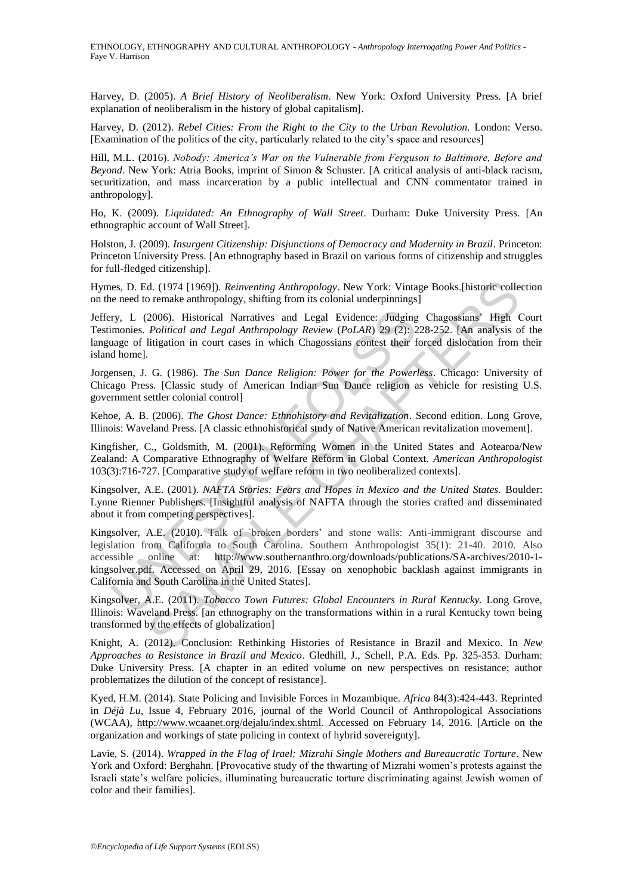Harvey, D. (2005). *A Brief History of Neoliberalism*. New York: Oxford University Press. [A brief explanation of neoliberalism in the history of global capitalism].

Harvey, D. (2012). *Rebel Cities: From the Right to the City to the Urban Revolution.* London: Verso. [Examination of the politics of the city, particularly related to the city's space and resources]

Hill, M.L. (2016). *Nobody: America's War on the Vulnerable from Ferguson to Baltimore, Before and Beyond*. New York: Atria Books, imprint of Simon & Schuster. [A critical analysis of anti-black racism, securitization, and mass incarceration by a public intellectual and CNN commentator trained in anthropology].

Ho, K. (2009). *Liquidated: An Ethnography of Wall Street*. Durham: Duke University Press. [An ethnographic account of Wall Street].

Holston, J. (2009). *Insurgent Citizenship: Disjunctions of Democracy and Modernity in Brazil*. Princeton: Princeton University Press. [An ethnography based in Brazil on various forms of citizenship and struggles for full-fledged citizenship].

Hymes, D. Ed. (1974 [1969]). *Reinventing Anthropology*. New York: Vintage Books.[historic collection on the need to remake anthropology, shifting from its colonial underpinnings]

Jeffery, L (2006). Historical Narratives and Legal Evidence: Judging Chagossians' High Court Testimonies. *Political and Legal Anthropology Review* (*PoLAR*) 29 (2): 228-252. [An analysis of the language of litigation in court cases in which Chagossians contest their forced dislocation from their island home].

Jorgensen, J. G. (1986). *The Sun Dance Religion: Power for the Powerless*. Chicago: University of Chicago Press. [Classic study of American Indian Sun Dance religion as vehicle for resisting U.S. government settler colonial control]

Kehoe, A. B. (2006). *The Ghost Dance: Ethnohistory and Revitalization*. Second edition. Long Grove, Illinois: Waveland Press. [A classic ethnohistorical study of Native American revitalization movement].

Kingfisher, C., Goldsmith, M. (2001). Reforming Women in the United States and Aotearoa/New Zealand: A Comparative Ethnography of Welfare Reform in Global Context. *American Anthropologist* 103(3):716-727. [Comparative study of welfare reform in two neoliberalized contexts].

Kingsolver, A.E. (2001). *NAFTA Stories: Fears and Hopes in Mexico and the United States.* Boulder: Lynne Rienner Publishers. [Insightful analysis of NAFTA through the stories crafted and disseminated about it from competing perspectives].

ry, L (2006). Historical Narratives and Legal Evidence: Judging<br>monies. Political and Legal Anthropology Review (PoLAR) 29 (2): 2<br>aage of litigation in court cases in which Chagossians contest their f<br>d home].<br>menc, J. G. d. (1974 [1969]). *Reinventing Anthropology*. New York: Vintage Books.[historic colle<br>
nemake anthropology, shifting from its colonial underpinnings]<br>
2006). Historical Narratives and Legal Evidence: Judging Chagossians' H Kingsolver, A.E. (2010). Talk of `broken borders' and stone walls: Anti-immigrant discourse and legislation from California to South Carolina. Southern Anthropologist 35(1): 21-40. 2010. Also accessible online at: http://www.southernanthro.org/downloads/publications/SA-archives/2010-1 kingsolver.pdf. Accessed on April 29, 2016. [Essay on xenophobic backlash against immigrants in California and South Carolina in the United States].

Kingsolver, A.E. (2011). *Tobacco Town Futures: Global Encounters in Rural Kentucky.* Long Grove, Illinois: Waveland Press. [an ethnography on the transformations within in a rural Kentucky town being transformed by the effects of globalization]

Knight, A. (2012). Conclusion: Rethinking Histories of Resistance in Brazil and Mexico. In *New Approaches to Resistance in Brazil and Mexico*. Gledhill, J., Schell, P.A. Eds. Pp. 325-353. Durham: Duke University Press. [A chapter in an edited volume on new perspectives on resistance; author problematizes the dilution of the concept of resistance].

Kyed, H.M. (2014). State Policing and Invisible Forces in Mozambique. *Africa* 84(3):424-443. Reprinted in *Déjà Lu*, Issue 4, February 2016, journal of the World Council of Anthropological Associations (WCAA), http://www.wcaanet.org/dejalu/index.shtml. Accessed on February 14, 2016. [Article on the organization and workings of state policing in context of hybrid sovereignty].

Lavie, S. (2014). *Wrapped in the Flag of Irael: Mizrahi Single Mothers and Bureaucratic Torture*. New York and Oxford: Berghahn. [Provocative study of the thwarting of Mizrahi women's protests against the Israeli state's welfare policies, illuminating bureaucratic torture discriminating against Jewish women of color and their families].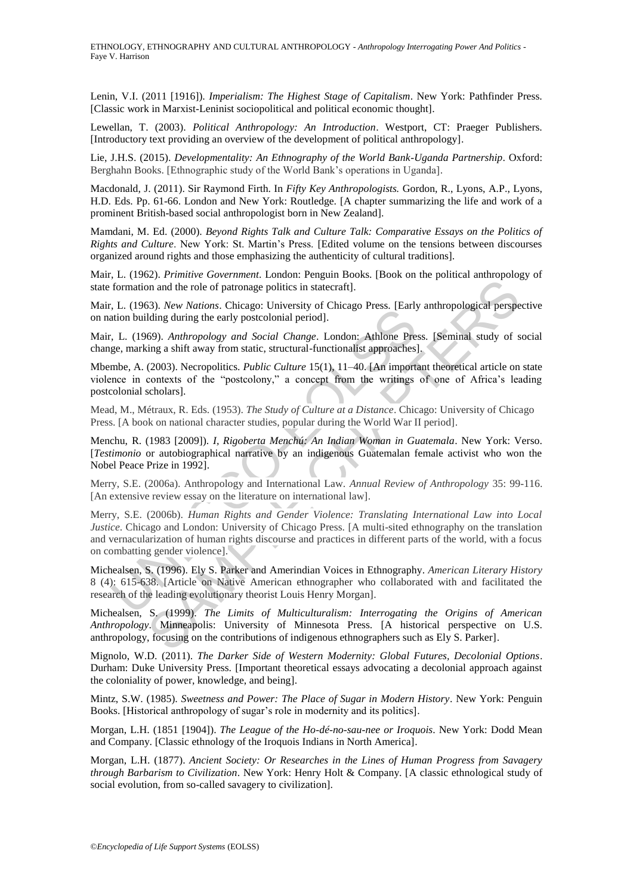Lenin, V.I. (2011 [1916]). *Imperialism: The Highest Stage of Capitalism*. New York: Pathfinder Press. [Classic work in Marxist-Leninist sociopolitical and political economic thought].

Lewellan, T. (2003). *Political Anthropology: An Introduction*. Westport, CT: Praeger Publishers. [Introductory text providing an overview of the development of political anthropology].

Lie, J.H.S. (2015). *Developmentality: An Ethnography of the World Bank-Uganda Partnership*. Oxford: Berghahn Books. [Ethnographic study of the World Bank's operations in Uganda].

Macdonald, J. (2011). Sir Raymond Firth. In *Fifty Key Anthropologists.* Gordon, R., Lyons, A.P., Lyons, H.D. Eds. Pp. 61-66. London and New York: Routledge. [A chapter summarizing the life and work of a prominent British-based social anthropologist born in New Zealand].

Mamdani, M. Ed. (2000). *Beyond Rights Talk and Culture Talk: Comparative Essays on the Politics of Rights and Culture*. New York: St. Martin's Press. [Edited volume on the tensions between discourses organized around rights and those emphasizing the authenticity of cultural traditions].

Mair, L. (1962). *Primitive Government*. London: Penguin Books. [Book on the political anthropology of state formation and the role of patronage politics in statecraft].

Mair, L. (1963). *New Nations*. Chicago: University of Chicago Press. [Early anthropological perspective on nation building during the early postcolonial period].

Mair, L. (1969). *Anthropology and Social Change*. London: Athlone Press. [Seminal study of social change, marking a shift away from static, structural-functionalist approaches].

Mbembe, A. (2003). Necropolitics. *Public Culture* 15(1), 11–40. [An important theoretical article on state violence in contexts of the "postcolony," a concept from the writings of one of Africa's leading postcolonial scholars].

Mead, M., Métraux, R. Eds. (1953). *The Study of Culture at a Distance*. Chicago: University of Chicago Press. [A book on national character studies, popular during the World War II period].

Menchu, R. (1983 [2009]). *I, Rigoberta Menchú: An Indian Woman in Guatemala*. New York: Verso. [*Testimonio* or autobiographical narrative by an indigenous Guatemalan female activist who won the Nobel Peace Prize in 1992].

Merry, S.E. (2006a). Anthropology and International Law. *Annual Review of Anthropology* 35: 99-116. [An extensive review essay on the literature on international law].

Let (1969). Anthropology and International Law. Annual Review<br>tation building during the early postcolonial period].<br>
T. L. (1969). Anthropology and Social Change. London: Athlone Prege, marking a shift away from static, on and the role of patronage politics in statecraft].<br>
S3). New Nations. Chicago: University of Chicago Press. [Early anthropological perspection on and the role of patronage politics in statecraft].<br>
S4). Andropology and Merry, S.E. (2006b). *Human Rights and Gender Violence: Translating International Law into Local Justice*. Chicago and London: University of Chicago Press. [A multi-sited ethnography on the translation and vernacularization of human rights discourse and practices in different parts of the world, with a focus on combatting gender violence].

Michealsen, S. (1996). Ely S. Parker and Amerindian Voices in Ethnography. *American Literary History* 8 (4): 615-638. [Article on Native American ethnographer who collaborated with and facilitated the research of the leading evolutionary theorist Louis Henry Morgan].

Michealsen, S. (1999). *The Limits of Multiculturalism: Interrogating the Origins of American Anthropology*. Minneapolis: University of Minnesota Press. [A historical perspective on U.S. anthropology, focusing on the contributions of indigenous ethnographers such as Ely S. Parker].

Mignolo, W.D. (2011). *The Darker Side of Western Modernity: Global Futures, Decolonial Options*. Durham: Duke University Press. [Important theoretical essays advocating a decolonial approach against the coloniality of power, knowledge, and being].

Mintz, S.W. (1985). *Sweetness and Power: The Place of Sugar in Modern History*. New York: Penguin Books. [Historical anthropology of sugar's role in modernity and its politics].

Morgan, L.H. (1851 [1904]). *The League of the Ho-dé-no-sau-nee or Iroquois*. New York: Dodd Mean and Company. [Classic ethnology of the Iroquois Indians in North America].

Morgan, L.H. (1877). *Ancient Society: Or Researches in the Lines of Human Progress from Savagery through Barbarism to Civilization*. New York: Henry Holt & Company. [A classic ethnological study of social evolution, from so-called savagery to civilization].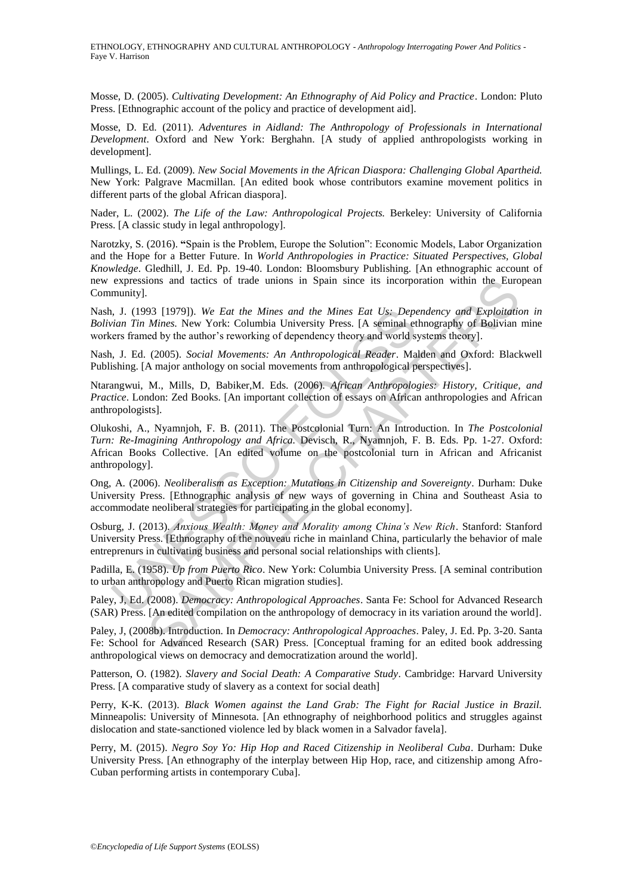Mosse, D. (2005). *Cultivating Development: An Ethnography of Aid Policy and Practice*. London: Pluto Press. [Ethnographic account of the policy and practice of development aid].

Mosse, D. Ed. (2011). *Adventures in Aidland: The Anthropology of Professionals in International Development*. Oxford and New York: Berghahn. [A study of applied anthropologists working in development].

Mullings, L. Ed. (2009). *New Social Movements in the African Diaspora: Challenging Global Apartheid.* New York: Palgrave Macmillan. [An edited book whose contributors examine movement politics in different parts of the global African diaspora].

Nader, L. (2002). *The Life of the Law: Anthropological Projects.* Berkeley: University of California Press. [A classic study in legal anthropology].

Narotzky, S. (2016). "Spain is the Problem, Europe the Solution": Economic Models, Labor Organization and the Hope for a Better Future. In *World Anthropologies in Practice: Situated Perspectives, Global Knowledge*. Gledhill, J. Ed. Pp. 19-40. London: Bloomsbury Publishing. [An ethnographic account of new expressions and tactics of trade unions in Spain since its incorporation within the European Community].

Nash, J. (1993 [1979]). *We Eat the Mines and the Mines Eat Us: Dependency and Exploitation in Bolivian Tin Mines.* New York: Columbia University Press. [A seminal ethnography of Bolivian mine workers framed by the author's reworking of dependency theory and world systems theory].

Nash, J. Ed. (2005). *Social Movements: An Anthropological Reader*. Malden and Oxford: Blackwell Publishing. [A major anthology on social movements from anthropological perspectives].

Ntarangwui, M., Mills, D, Babiker,M. Eds. (2006). *African Anthropologies: History, Critique, and Practice*. London: Zed Books. [An important collection of essays on African anthropologies and African anthropologists].

i, J. (1993 [1979]). We Eat the Mines and the Mines Eat Us: Depetion Tin Mines. New York: Columbia University Press. [A seminal et the Mines and the Mines Eat Us: Depetions Tim Mines. New York: Columbia University Press. ions and tactics of trade unions in Spain since its incorporation within the Euro<br>
93 (1979)). We *Eat the Mines and the Mines Eat Usy-Dependency and Exploitation*<br> *Mines*. New York: Columbia University Press. [A seminal Olukoshi, A., Nyamnjoh, F. B. (2011). The Postcolonial Turn: An Introduction. In *The Postcolonial Turn: Re-Imagining Anthropology and Africa.* Devisch, R., Nyamnjoh, F. B. Eds. Pp. 1-27. Oxford: African Books Collective. [An edited volume on the postcolonial turn in African and Africanist anthropology].

Ong, A. (2006). *Neoliberalism as Exception: Mutations in Citizenship and Sovereignty*. Durham: Duke University Press. [Ethnographic analysis of new ways of governing in China and Southeast Asia to accommodate neoliberal strategies for participating in the global economy].

Osburg, J. (2013). *Anxious Wealth: Money and Morality among China's New Rich*. Stanford: Stanford University Press. [Ethnography of the nouveau riche in mainland China, particularly the behavior of male entreprenurs in cultivating business and personal social relationships with clients].

Padilla, E. (1958). *Up from Puerto Rico*. New York: Columbia University Press. [A seminal contribution to urban anthropology and Puerto Rican migration studies].

Paley, J, Ed. (2008). *Democracy: Anthropological Approaches*. Santa Fe: School for Advanced Research (SAR) Press. [An edited compilation on the anthropology of democracy in its variation around the world].

Paley, J, (2008b). Introduction. In *Democracy: Anthropological Approaches*. Paley, J. Ed. Pp. 3-20. Santa Fe: School for Advanced Research (SAR) Press. [Conceptual framing for an edited book addressing anthropological views on democracy and democratization around the world].

Patterson, O. (1982). *Slavery and Social Death: A Comparative Study*. Cambridge: Harvard University Press. [A comparative study of slavery as a context for social death]

Perry, K-K. (2013). *Black Women against the Land Grab: The Fight for Racial Justice in Brazil.* Minneapolis: University of Minnesota. [An ethnography of neighborhood politics and struggles against dislocation and state-sanctioned violence led by black women in a Salvador favela].

Perry, M. (2015). *Negro Soy Yo: Hip Hop and Raced Citizenship in Neoliberal Cuba*. Durham: Duke University Press. [An ethnography of the interplay between Hip Hop, race, and citizenship among Afro-Cuban performing artists in contemporary Cuba].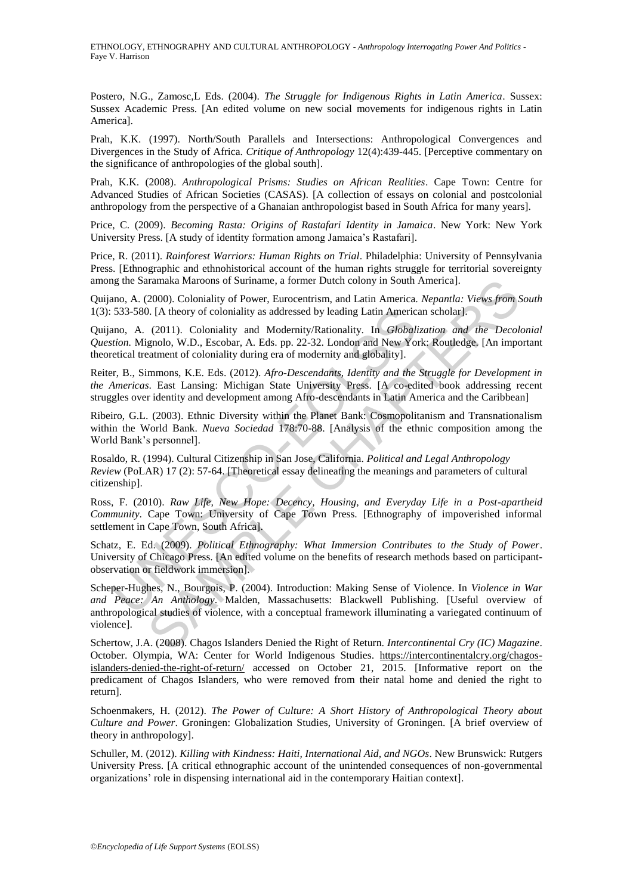Postero, N.G., Zamosc,L Eds. (2004). *The Struggle for Indigenous Rights in Latin America*. Sussex: Sussex Academic Press. [An edited volume on new social movements for indigenous rights in Latin America].

Prah, K.K. (1997). North/South Parallels and Intersections: Anthropological Convergences and Divergences in the Study of Africa. *Critique of Anthropology* 12(4):439-445. [Perceptive commentary on the significance of anthropologies of the global south].

Prah, K.K. (2008). *Anthropological Prisms: Studies on African Realities*. Cape Town: Centre for Advanced Studies of African Societies (CASAS). [A collection of essays on colonial and postcolonial anthropology from the perspective of a Ghanaian anthropologist based in South Africa for many years].

Price, C. (2009). *Becoming Rasta: Origins of Rastafari Identity in Jamaica*. New York: New York University Press. [A study of identity formation among Jamaica's Rastafari].

Price, R. (2011). *Rainforest Warriors: Human Rights on Trial*. Philadelphia: University of Pennsylvania Press. [Ethnographic and ethnohistorical account of the human rights struggle for territorial sovereignty among the Saramaka Maroons of Suriname, a former Dutch colony in South America].

Quijano, A. (2000). Coloniality of Power, Eurocentrism, and Latin America. *Nepantla: Views from South*  1(3): 533-580. [A theory of coloniality as addressed by leading Latin American scholar].

Quijano, A. (2011). Coloniality and Modernity/Rationality. In *Globalization and the Decolonial Question.* Mignolo, W.D., Escobar, A. Eds. pp. 22-32. London and New York: Routledge. [An important theoretical treatment of coloniality during era of modernity and globality].

Reiter, B., Simmons, K.E. Eds. (2012). *Afro-Descendants, Identity and the Struggle for Development in the Americas*. East Lansing: Michigan State University Press. [A co-edited book addressing recent struggles over identity and development among Afro-descendants in Latin America and the Caribbean]

Ribeiro, G.L. (2003). Ethnic Diversity within the Planet Bank: Cosmopolitanism and Transnationalism within the World Bank. *Nueva Sociedad* 178:70-88. [Analysis of the ethnic composition among the World Bank's personnel].

533-580. [A theory of coloniality as addressed by leading Latin Americ<br>
ano, A. (2011). Coloniality and Modernity/Rationality. In *Globalition*. Mignolo, W.D., Escobar, A. Eds. pp. 22-32. London and New Yoi<br>
etical treatme Rosaldo, R. (1994). Cultural Citizenship in San Jose, California. *Political and Legal Anthropology Review* (PoLAR) 17 (2): 57-64. [Theoretical essay delineating the meanings and parameters of cultural citizenship].

Ross, F. (2010). *Raw Life, New Hope: Decency, Housing, and Everyday Life in a Post-apartheid Community*. Cape Town: University of Cape Town Press. [Ethnography of impoverished informal settlement in Cape Town, South Africa].

Schatz, E. Ed. (2009). *Political Ethnography: What Immersion Contributes to the Study of Power*. University of Chicago Press. [An edited volume on the benefits of research methods based on participantobservation or fieldwork immersion].

Iranaka Maroons of Suriname, a former Dutch colony in South America].<br>
2000). Coloniality of Power, Eurocentrism, and Latin America. *Neparata.* Views from 1.<br>
(A theory of coloniality and Modernity/Rationality. In *Global* Scheper-Hughes, N., Bourgois, P. (2004). Introduction: Making Sense of Violence. In *Violence in War and Peace: An Anthology*. Malden, Massachusetts: Blackwell Publishing. [Useful overview of anthropological studies of violence, with a conceptual framework illuminating a variegated continuum of violence].

Schertow, J.A. (2008). Chagos Islanders Denied the Right of Return. *Intercontinental Cry (IC) Magazine*. October. Olympia, WA: Center for World Indigenous Studies. https://intercontinentalcry.org/chagosislanders-denied-the-right-of-return/ accessed on October 21, 2015. [Informative report on the predicament of Chagos Islanders, who were removed from their natal home and denied the right to return].

Schoenmakers, H. (2012). *The Power of Culture: A Short History of Anthropological Theory about Culture and Power*. Groningen: Globalization Studies, University of Groningen. [A brief overview of theory in anthropology].

Schuller, M. (2012). *Killing with Kindness: Haiti, International Aid, and NGOs*. New Brunswick: Rutgers University Press. [A critical ethnographic account of the unintended consequences of non-governmental organizations' role in dispensing international aid in the contemporary Haitian context].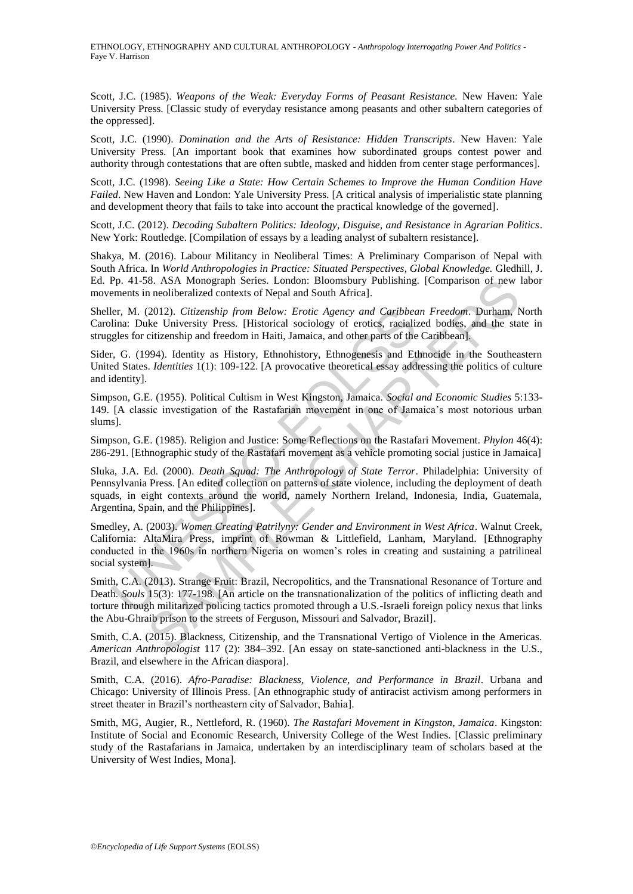Scott, J.C. (1985). *Weapons of the Weak: Everyday Forms of Peasant Resistance.* New Haven: Yale University Press. [Classic study of everyday resistance among peasants and other subaltern categories of the oppressed].

Scott, J.C. (1990). *Domination and the Arts of Resistance: Hidden Transcripts*. New Haven: Yale University Press. [An important book that examines how subordinated groups contest power and authority through contestations that are often subtle, masked and hidden from center stage performances].

Scott, J.C. (1998). *Seeing Like a State: How Certain Schemes to Improve the Human Condition Have Failed*. New Haven and London: Yale University Press. [A critical analysis of imperialistic state planning and development theory that fails to take into account the practical knowledge of the governed].

Scott, J.C. (2012). *Decoding Subaltern Politics: Ideology, Disguise, and Resistance in Agrarian Politics*. New York: Routledge. [Compilation of essays by a leading analyst of subaltern resistance].

Shakya, M. (2016). Labour Militancy in Neoliberal Times: A Preliminary Comparison of Nepal with South Africa. In *World Anthropologies in Practice: Situated Perspectives, Global Knowledge.* Gledhill, J. Ed. Pp. 41-58. ASA Monograph Series. London: Bloomsbury Publishing. [Comparison of new labor movements in neoliberalized contexts of Nepal and South Africa].

Sheller, M. (2012). *Citizenship from Below: Erotic Agency and Caribbean Freedom*. Durham, North Carolina: Duke University Press. [Historical sociology of erotics, racialized bodies, and the state in struggles for citizenship and freedom in Haiti, Jamaica, and other parts of the Caribbean].

Sider, G. (1994). Identity as History, Ethnohistory, Ethnogenesis and Ethnocide in the Southeastern United States. *Identities* 1(1): 109-122. [A provocative theoretical essay addressing the politics of culture and identity].

Simpson, G.E. (1955). Political Cultism in West Kingston, Jamaica. *Social and Economic Studies* 5:133- 149. [A classic investigation of the Rastafarian movement in one of Jamaica's most notorious urban slums].

Simpson, G.E. (1985). Religion and Justice: Some Reflections on the Rastafari Movement. *Phylon* 46(4): 286-291. [Ethnographic study of the Rastafari movement as a vehicle promoting social justice in Jamaica]

lina: Duke University Prom Below: *Erotic Agency and Caribbea*<br>lina: Duke University Press. [Historical sociology of erotics, racialize<br>gles for citizenship and freedom in Haiti, Jamaica, and other parts of the<br>gles c, G. SC. ASA Monograph Series. London: Bloomsbury Publishing, IComparison of new<br>
S. ASA Monograph Series. London: Bloomsbury Publishing, IComparison of new<br>
2012). Citizenship from Below: Erotic Agency and Catibbean Freedom. D Sluka, J.A. Ed. (2000). *Death Squad: The Anthropology of State Terror*. Philadelphia: University of Pennsylvania Press. [An edited collection on patterns of state violence, including the deployment of death squads, in eight contexts around the world, namely Northern Ireland, Indonesia, India, Guatemala, Argentina, Spain, and the Philippines].

Smedley, A. (2003). *Women Creating Patrilyny: Gender and Environment in West Africa*. Walnut Creek, California: AltaMira Press, imprint of Rowman & Littlefield, Lanham, Maryland. [Ethnography conducted in the 1960s in northern Nigeria on women's roles in creating and sustaining a patrilineal social system].

Smith, C.A. (2013). Strange Fruit: Brazil, Necropolitics, and the Transnational Resonance of Torture and Death. *Souls* 15(3): 177-198. [An article on the transnationalization of the politics of inflicting death and torture through militarized policing tactics promoted through a U.S.-Israeli foreign policy nexus that links the Abu-Ghraib prison to the streets of Ferguson, Missouri and Salvador, Brazil].

Smith, C.A. (2015). Blackness, Citizenship, and the Transnational Vertigo of Violence in the Americas. *American Anthropologist* 117 (2): 384–392. [An essay on state-sanctioned anti-blackness in the U.S., Brazil, and elsewhere in the African diaspora].

Smith, C.A. (2016). *Afro-Paradise: Blackness, Violence, and Performance in Brazil*. Urbana and Chicago: University of Illinois Press. [An ethnographic study of antiracist activism among performers in street theater in Brazil's northeastern city of Salvador, Bahia].

Smith, MG, Augier, R., Nettleford, R. (1960). *The Rastafari Movement in Kingston, Jamaica*. Kingston: Institute of Social and Economic Research, University College of the West Indies. [Classic preliminary study of the Rastafarians in Jamaica, undertaken by an interdisciplinary team of scholars based at the University of West Indies, Mona].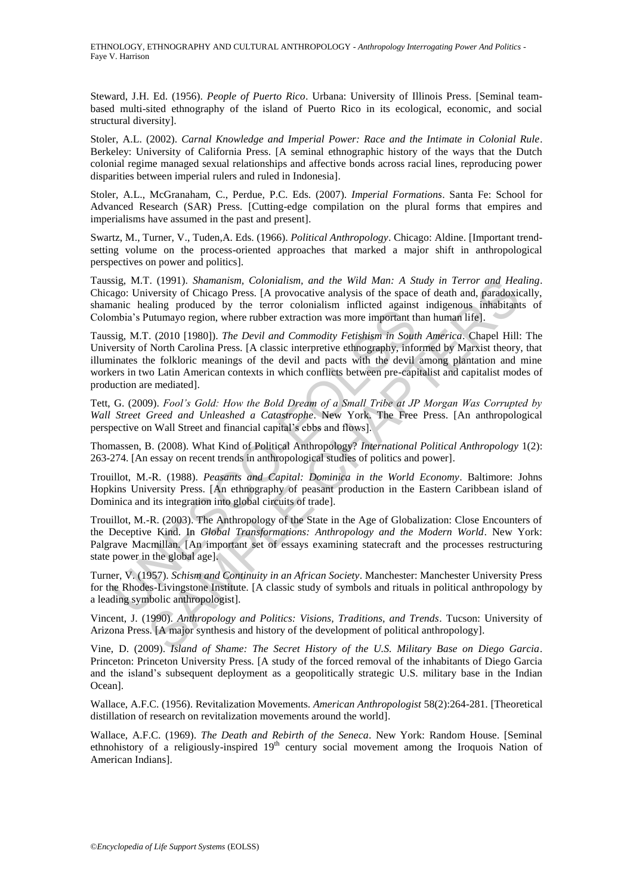Steward, J.H. Ed. (1956). *People of Puerto Rico*. Urbana: University of Illinois Press. [Seminal teambased multi-sited ethnography of the island of Puerto Rico in its ecological, economic, and social structural diversity].

Stoler, A.L. (2002). *Carnal Knowledge and Imperial Power: Race and the Intimate in Colonial Rule*. Berkeley: University of California Press. [A seminal ethnographic history of the ways that the Dutch colonial regime managed sexual relationships and affective bonds across racial lines, reproducing power disparities between imperial rulers and ruled in Indonesia].

Stoler, A.L., McGranaham, C., Perdue, P.C. Eds. (2007). *Imperial Formations*. Santa Fe: School for Advanced Research (SAR) Press. [Cutting-edge compilation on the plural forms that empires and imperialisms have assumed in the past and present].

Swartz, M., Turner, V., Tuden,A. Eds. (1966). *Political Anthropology*. Chicago: Aldine. [Important trendsetting volume on the process-oriented approaches that marked a major shift in anthropological perspectives on power and politics].

Taussig, M.T. (1991). *Shamanism, Colonialism, and the Wild Man: A Study in Terror and Healing*. Chicago: University of Chicago Press. [A provocative analysis of the space of death and, paradoxically, shamanic healing produced by the terror colonialism inflicted against indigenous inhabitants of Colombia's Putumayo region, where rubber extraction was more important than human life].

annia, Processor, of the Caterolan Markov emphasion in the consumbia's Puttumayo region, where rubber extraction was more important the sig, M.T. (2010 [1980]). *The Devil and Commodity Fetishism in Soutsersity of North Ca* I. (1991). *Mannamism, Colonialism, and the Wid Man:* A *Study* in *Perror and Hecal*<br>(versity of Chicago Press. [A provocative analysis of the space of death and *paradoxialing* produced by the terror colonialism inflict Taussig, M.T. (2010 [1980]). *The Devil and Commodity Fetishism in South America*. Chapel Hill: The University of North Carolina Press. [A classic interpretive ethnography, informed by Marxist theory, that illuminates the folkloric meanings of the devil and pacts with the devil among plantation and mine workers in two Latin American contexts in which conflicts between pre-capitalist and capitalist modes of production are mediated].

Tett, G. (2009). *Fool's Gold: How the Bold Dream of a Small Tribe at JP Morgan Was Corrupted by Wall Street Greed and Unleashed a Catastrophe*. New York. The Free Press. [An anthropological perspective on Wall Street and financial capital's ebbs and flows].

Thomassen, B. (2008). What Kind of Political Anthropology? *International Political Anthropology* 1(2): 263-274. [An essay on recent trends in anthropological studies of politics and power].

Trouillot, M.-R. (1988). *Peasants and Capital: Dominica in the World Economy*. Baltimore: Johns Hopkins University Press. [An ethnography of peasant production in the Eastern Caribbean island of Dominica and its integration into global circuits of trade].

Trouillot, M.-R. (2003). The Anthropology of the State in the Age of Globalization: Close Encounters of the Deceptive Kind. In *Global Transformations: Anthropology and the Modern World*. New York: Palgrave Macmillan. [An important set of essays examining statecraft and the processes restructuring state power in the global age].

Turner, V. (1957). *Schism and Continuity in an African Society*. Manchester: Manchester University Press for the Rhodes-Livingstone Institute. [A classic study of symbols and rituals in political anthropology by a leading symbolic anthropologist].

Vincent, J. (1990). *Anthropology and Politics: Visions, Traditions, and Trends*. Tucson: University of Arizona Press. [A major synthesis and history of the development of political anthropology].

Vine, D. (2009). *Island of Shame: The Secret History of the U.S. Military Base on Diego Garcia*. Princeton: Princeton University Press. [A study of the forced removal of the inhabitants of Diego Garcia and the island's subsequent deployment as a geopolitically strategic U.S. military base in the Indian Ocean].

Wallace, A.F.C. (1956). Revitalization Movements. *American Anthropologist* 58(2):264-281. [Theoretical distillation of research on revitalization movements around the world].

Wallace, A.F.C. (1969). *The Death and Rebirth of the Seneca*. New York: Random House. [Seminal ethnohistory of a religiously-inspired  $19<sup>th</sup>$  century social movement among the Iroquois Nation of American Indians].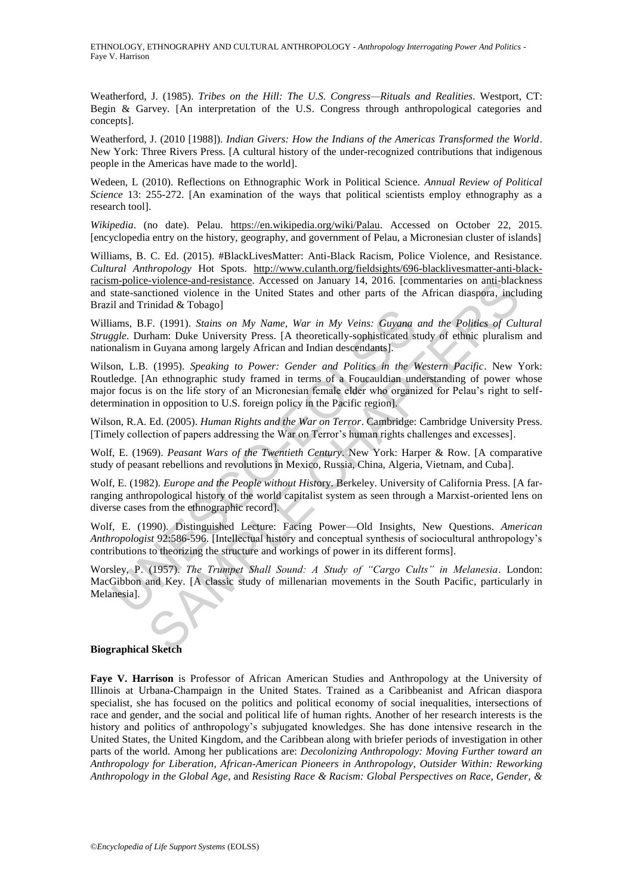Weatherford, J. (1985). *Tribes on the Hill: The U.S. Congress—Rituals and Realities*. Westport, CT: Begin & Garvey. [An interpretation of the U.S. Congress through anthropological categories and concepts].

Weatherford, J. (2010 [1988]). *Indian Givers: How the Indians of the Americas Transformed the World*. New York: Three Rivers Press. [A cultural history of the under-recognized contributions that indigenous people in the Americas have made to the world].

Wedeen, L (2010). Reflections on Ethnographic Work in Political Science. *Annual Review of Political Science* 13: 255-272. [An examination of the ways that political scientists employ ethnography as a research tool].

*Wikipedia*. (no date). Pelau. https://en.wikipedia.org/wiki/Palau. Accessed on October 22, 2015. [encyclopedia entry on the history, geography, and government of Pelau, a Micronesian cluster of islands]

Williams, B. C. Ed. (2015). #BlackLivesMatter: Anti-Black Racism, Police Violence, and Resistance*. Cultural Anthropology* Hot Spots. http://www.culanth.org/fieldsights/696-blacklivesmatter-anti-blackracism-police-violence-and-resistance. Accessed on January 14, 2016. [commentaries on anti-blackness and state-sanctioned violence in the United States and other parts of the African diaspora, including Brazil and Trinidad & Tobago]

Williams, B.F. (1991). *Stains on My Name, War in My Veins: Guyana and the Politics of Cultural Struggle*. Durham: Duke University Press. [A theoretically-sophisticated study of ethnic pluralism and nationalism in Guyana among largely African and Indian descendants].

iams, B.F. (1991). *Stains on My Name*, *War in My Veins: Guyana* iams, B.F. (1991). *Stains on My Name*, *War in My Veins: Guyana* iggle. Durham: Duke University Press. [A theoretically-sophisticated standism in Guyana am Explore and resistance. Accessed on January 14, 2016. [commentares on anti-black-<br>
citioned violence in the United States and other parts of the African diaspora, included & Tobago]<br>
F. (1991). *Statins on My Name, War in* Wilson, L.B. (1995). *Speaking to Power: Gender and Politics in the Western Pacific*. New York: Routledge. [An ethnographic study framed in terms of a Foucauldian understanding of power whose major focus is on the life story of an Micronesian female elder who organized for Pelau's right to selfdetermination in opposition to U.S. foreign policy in the Pacific region].

Wilson, R.A. Ed. (2005). *Human Rights and the War on Terror*. Cambridge: Cambridge University Press. [Timely collection of papers addressing the War on Terror's human rights challenges and excesses].

Wolf, E. (1969). *Peasant Wars of the Twentieth Century*. New York: Harper & Row. [A comparative study of peasant rebellions and revolutions in Mexico, Russia, China, Algeria, Vietnam, and Cuba].

Wolf, E. (1982). *Europe and the People without Hist*ory. Berkeley. University of California Press. [A farranging anthropological history of the world capitalist system as seen through a Marxist-oriented lens on diverse cases from the ethnographic record].

Wolf, E. (1990). Distinguished Lecture: Facing Power—Old Insights, New Questions. *American Anthropologist* 92:586-596. [Intellectual history and conceptual synthesis of sociocultural anthropology's contributions to theorizing the structure and workings of power in its different forms].

Worsley, P. (1957). *The Trumpet Shall Sound: A Study of "Cargo Cults" in Melanesia*. London: MacGibbon and Key. [A classic study of millenarian movements in the South Pacific, particularly in Melanesia].

#### **Biographical Sketch**

**Faye V. Harrison** is Professor of African American Studies and Anthropology at the University of Illinois at Urbana-Champaign in the United States. Trained as a Caribbeanist and African diaspora specialist, she has focused on the politics and political economy of social inequalities, intersections of race and gender, and the social and political life of human rights. Another of her research interests is the history and politics of anthropology's subjugated knowledges. She has done intensive research in the United States, the United Kingdom, and the Caribbean along with briefer periods of investigation in other parts of the world. Among her publications are: *Decolonizing Anthropology: Moving Further toward an Anthropology for Liberation*, *African-American Pioneers in Anthropology*, *Outsider Within: Reworking Anthropology in the Global Age*, and *Resisting Race & Racism: Global Perspectives on Race, Gender, &*